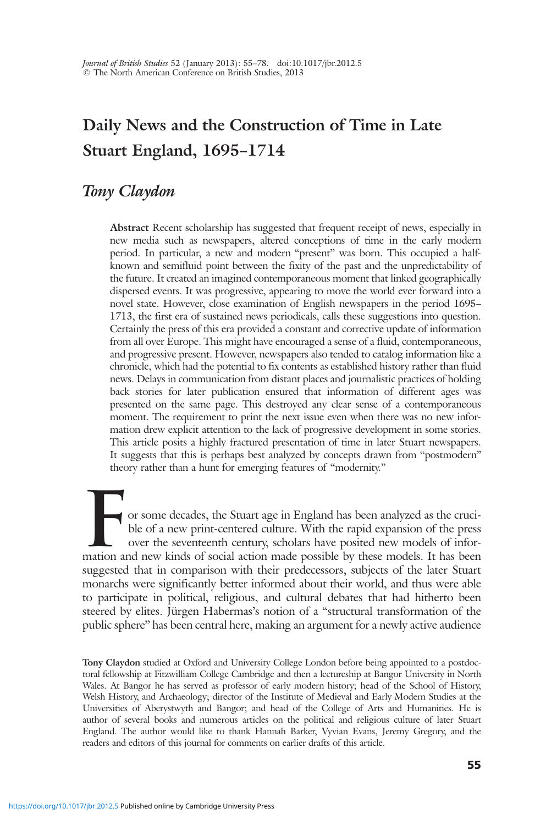# Daily News and the Construction of Time in Late Stuart England, 1695–1714

# Tony Claydon

Abstract Recent scholarship has suggested that frequent receipt of news, especially in new media such as newspapers, altered conceptions of time in the early modern period. In particular, a new and modern "present" was born. This occupied a halfknown and semifluid point between the fixity of the past and the unpredictability of the future. It created an imagined contemporaneous moment that linked geographically dispersed events. It was progressive, appearing to move the world ever forward into a novel state. However, close examination of English newspapers in the period 1695– 1713, the first era of sustained news periodicals, calls these suggestions into question. Certainly the press of this era provided a constant and corrective update of information from all over Europe. This might have encouraged a sense of a fluid, contemporaneous, and progressive present. However, newspapers also tended to catalog information like a chronicle, which had the potential to fix contents as established history rather than fluid news. Delays in communication from distant places and journalistic practices of holding back stories for later publication ensured that information of different ages was presented on the same page. This destroyed any clear sense of a contemporaneous moment. The requirement to print the next issue even when there was no new information drew explicit attention to the lack of progressive development in some stories. This article posits a highly fractured presentation of time in later Stuart newspapers. It suggests that this is perhaps best analyzed by concepts drawn from "postmodern" theory rather than a hunt for emerging features of "modernity."

For some decades, the Stuart age in England has been analyzed as the cruci-<br>ble of a new print-centered culture. With the rapid expansion of the press<br>over the seventeenth century, scholars have posited new models of infor ble of a new print-centered culture. With the rapid expansion of the press over the seventeenth century, scholars have posited new models of inforsuggested that in comparison with their predecessors, subjects of the later Stuart monarchs were significantly better informed about their world, and thus were able to participate in political, religious, and cultural debates that had hitherto been steered by elites. Jürgen Habermas's notion of a "structural transformation of the public sphere" has been central here, making an argument for a newly active audience

Tony Claydon studied at Oxford and University College London before being appointed to a postdoctoral fellowship at Fitzwilliam College Cambridge and then a lectureship at Bangor University in North Wales. At Bangor he has served as professor of early modern history; head of the School of History, Welsh History, and Archaeology; director of the Institute of Medieval and Early Modern Studies at the Universities of Aberystwyth and Bangor; and head of the College of Arts and Humanities. He is author of several books and numerous articles on the political and religious culture of later Stuart England. The author would like to thank Hannah Barker, Vyvian Evans, Jeremy Gregory, and the readers and editors of this journal for comments on earlier drafts of this article.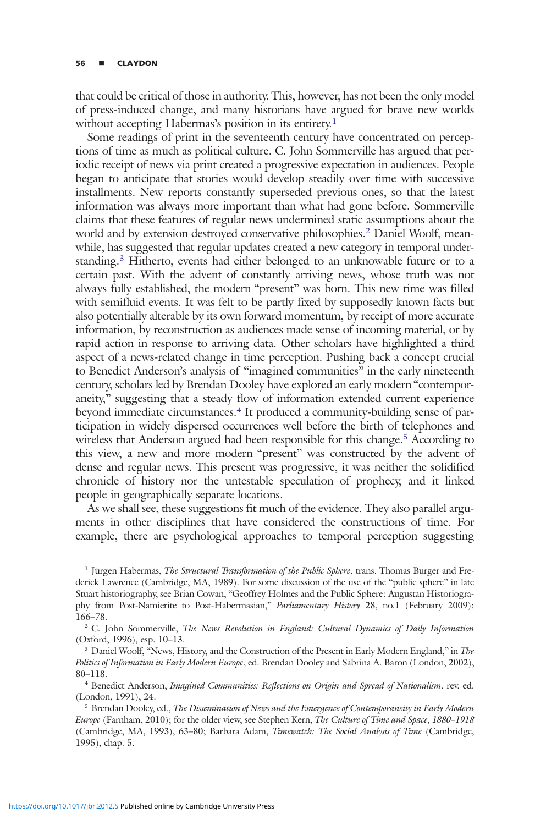that could be critical of those in authority. This, however, has not been the only model of press-induced change, and many historians have argued for brave new worlds without accepting Habermas's position in its entirety.<sup>1</sup>

Some readings of print in the seventeenth century have concentrated on perceptions of time as much as political culture. C. John Sommerville has argued that periodic receipt of news via print created a progressive expectation in audiences. People began to anticipate that stories would develop steadily over time with successive installments. New reports constantly superseded previous ones, so that the latest information was always more important than what had gone before. Sommerville claims that these features of regular news undermined static assumptions about the world and by extension destroyed conservative philosophies.2 Daniel Woolf, meanwhile, has suggested that regular updates created a new category in temporal understanding.3 Hitherto, events had either belonged to an unknowable future or to a certain past. With the advent of constantly arriving news, whose truth was not always fully established, the modern "present" was born. This new time was filled with semifluid events. It was felt to be partly fixed by supposedly known facts but also potentially alterable by its own forward momentum, by receipt of more accurate information, by reconstruction as audiences made sense of incoming material, or by rapid action in response to arriving data. Other scholars have highlighted a third aspect of a news-related change in time perception. Pushing back a concept crucial to Benedict Anderson's analysis of "imagined communities" in the early nineteenth century, scholars led by Brendan Dooley have explored an early modern "contemporaneity," suggesting that a steady flow of information extended current experience beyond immediate circumstances.<sup>4</sup> It produced a community-building sense of participation in widely dispersed occurrences well before the birth of telephones and wireless that Anderson argued had been responsible for this change.<sup>5</sup> According to this view, a new and more modern "present" was constructed by the advent of dense and regular news. This present was progressive, it was neither the solidified chronicle of history nor the untestable speculation of prophecy, and it linked people in geographically separate locations.

As we shall see, these suggestions fit much of the evidence. They also parallel arguments in other disciplines that have considered the constructions of time. For example, there are psychological approaches to temporal perception suggesting

<sup>1</sup> Jürgen Habermas, The Structural Transformation of the Public Sphere, trans. Thomas Burger and Frederick Lawrence (Cambridge, MA, 1989). For some discussion of the use of the "public sphere" in late Stuart historiography, see Brian Cowan, "Geoffrey Holmes and the Public Sphere: Augustan Historiography from Post-Namierite to Post-Habermasian," Parliamentary History 28, no.1 (February 2009): 166–78.

<sup>2</sup> C. John Sommerville, *The News Revolution in England: Cultural Dynamics of Daily Information* (Oxford, 1996), esp. 10–13.

<sup>3</sup> Daniel Woolf, "News, History, and the Construction of the Present in Early Modern England," in The Politics of Information in Early Modern Europe, ed. Brendan Dooley and Sabrina A. Baron (London, 2002), 80–118.

<sup>4</sup> Benedict Anderson, Imagined Communities: Reflections on Origin and Spread of Nationalism, rev. ed. (London, 1991), 24.

<sup>5</sup> Brendan Dooley, ed., The Dissemination of News and the Emergence of Contemporaneity in Early Modern Europe (Farnham, 2010); for the older view, see Stephen Kern, The Culture of Time and Space, 1880–1918 (Cambridge, MA, 1993), 63–80; Barbara Adam, Timewatch: The Social Analysis of Time (Cambridge, 1995), chap. 5.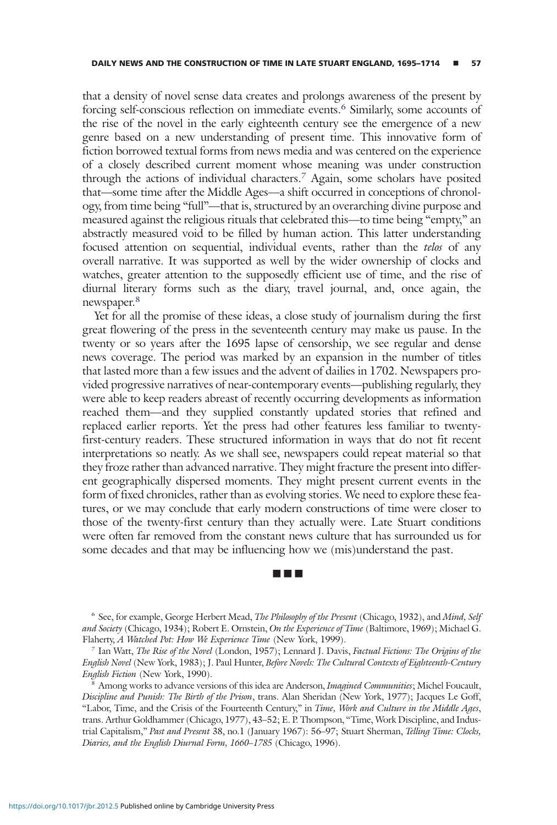that a density of novel sense data creates and prolongs awareness of the present by forcing self-conscious reflection on immediate events.<sup>6</sup> Similarly, some accounts of the rise of the novel in the early eighteenth century see the emergence of a new genre based on a new understanding of present time. This innovative form of fiction borrowed textual forms from news media and was centered on the experience of a closely described current moment whose meaning was under construction through the actions of individual characters.7 Again, some scholars have posited that—some time after the Middle Ages—a shift occurred in conceptions of chronology, from time being "full"—that is, structured by an overarching divine purpose and measured against the religious rituals that celebrated this—to time being "empty," an abstractly measured void to be filled by human action. This latter understanding focused attention on sequential, individual events, rather than the telos of any overall narrative. It was supported as well by the wider ownership of clocks and watches, greater attention to the supposedly efficient use of time, and the rise of diurnal literary forms such as the diary, travel journal, and, once again, the newspaper.<sup>8</sup>

Yet for all the promise of these ideas, a close study of journalism during the first great flowering of the press in the seventeenth century may make us pause. In the twenty or so years after the 1695 lapse of censorship, we see regular and dense news coverage. The period was marked by an expansion in the number of titles that lasted more than a few issues and the advent of dailies in 1702. Newspapers provided progressive narratives of near-contemporary events—publishing regularly, they were able to keep readers abreast of recently occurring developments as information reached them—and they supplied constantly updated stories that refined and replaced earlier reports. Yet the press had other features less familiar to twentyfirst-century readers. These structured information in ways that do not fit recent interpretations so neatly. As we shall see, newspapers could repeat material so that they froze rather than advanced narrative. They might fracture the present into different geographically dispersed moments. They might present current events in the form of fixed chronicles, rather than as evolving stories. We need to explore these features, or we may conclude that early modern constructions of time were closer to those of the twenty-first century than they actually were. Late Stuart conditions were often far removed from the constant news culture that has surrounded us for some decades and that may be influencing how we (mis)understand the past.

# ■■■

<sup>6</sup> See, for example, George Herbert Mead, The Philosophy of the Present (Chicago, 1932), and Mind, Self and Society (Chicago, 1934); Robert E. Ornstein, On the Experience of Time (Baltimore, 1969); Michael G. Flaherty, A Watched Pot: How We Experience Time (New York, 1999).

<sup>7</sup> Ian Watt, The Rise of the Novel (London, 1957); Lennard J. Davis, Factual Fictions: The Origins of the English Novel (New York, 1983); J. Paul Hunter, Before Novels: The Cultural Contexts of Eighteenth-Century English Fiction (New York, 1990).

<sup>8</sup> Among works to advance versions of this idea are Anderson, *Imagined Communities*; Michel Foucault, Discipline and Punish: The Birth of the Prison, trans. Alan Sheridan (New York, 1977); Jacques Le Goff, "Labor, Time, and the Crisis of the Fourteenth Century," in Time, Work and Culture in the Middle Ages, trans. Arthur Goldhammer (Chicago, 1977), 43–52; E. P. Thompson, "Time, Work Discipline, and Industrial Capitalism," Past and Present 38, no.1 (January 1967): 56-97; Stuart Sherman, Telling Time: Clocks, Diaries, and the English Diurnal Form, 1660–1785 (Chicago, 1996).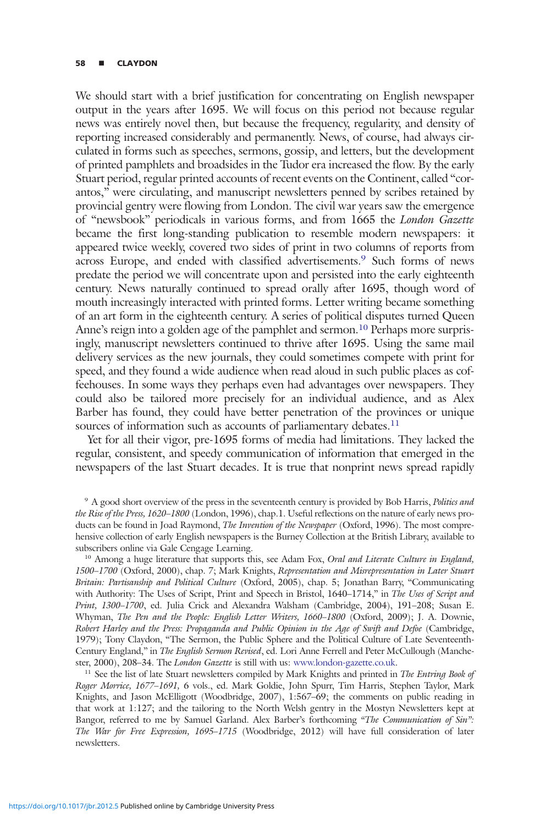#### 58 **■** CLAYDON

We should start with a brief justification for concentrating on English newspaper output in the years after 1695. We will focus on this period not because regular news was entirely novel then, but because the frequency, regularity, and density of reporting increased considerably and permanently. News, of course, had always circulated in forms such as speeches, sermons, gossip, and letters, but the development of printed pamphlets and broadsides in the Tudor era increased the flow. By the early Stuart period, regular printed accounts of recent events on the Continent, called "corantos," were circulating, and manuscript newsletters penned by scribes retained by provincial gentry were flowing from London. The civil war years saw the emergence of "newsbook" periodicals in various forms, and from 1665 the London Gazette became the first long-standing publication to resemble modern newspapers: it appeared twice weekly, covered two sides of print in two columns of reports from across Europe, and ended with classified advertisements.9 Such forms of news predate the period we will concentrate upon and persisted into the early eighteenth century. News naturally continued to spread orally after 1695, though word of mouth increasingly interacted with printed forms. Letter writing became something of an art form in the eighteenth century. A series of political disputes turned Queen Anne's reign into a golden age of the pamphlet and sermon.<sup>10</sup> Perhaps more surprisingly, manuscript newsletters continued to thrive after 1695. Using the same mail delivery services as the new journals, they could sometimes compete with print for speed, and they found a wide audience when read aloud in such public places as coffeehouses. In some ways they perhaps even had advantages over newspapers. They could also be tailored more precisely for an individual audience, and as Alex Barber has found, they could have better penetration of the provinces or unique sources of information such as accounts of parliamentary debates.<sup>11</sup>

Yet for all their vigor, pre-1695 forms of media had limitations. They lacked the regular, consistent, and speedy communication of information that emerged in the newspapers of the last Stuart decades. It is true that nonprint news spread rapidly

<sup>10</sup> Among a huge literature that supports this, see Adam Fox, Oral and Literate Culture in England, 1500–1700 (Oxford, 2000), chap. 7; Mark Knights, Representation and Misrepresentation in Later Stuart Britain: Partisanship and Political Culture (Oxford, 2005), chap. 5; Jonathan Barry, "Communicating with Authority: The Uses of Script, Print and Speech in Bristol, 1640–1714," in The Uses of Script and Print, 1300–1700, ed. Julia Crick and Alexandra Walsham (Cambridge, 2004), 191–208; Susan E. Whyman, The Pen and the People: English Letter Writers, 1660–1800 (Oxford, 2009); J. A. Downie, Robert Harley and the Press: Propaganda and Public Opinion in the Age of Swift and Defoe (Cambridge, 1979); Tony Claydon, "The Sermon, the Public Sphere and the Political Culture of Late Seventeenth-Century England," in The English Sermon Revised, ed. Lori Anne Ferrell and Peter McCullough (Manchester, 2000), 208–34. The London Gazette is still with us: www.london-gazette.co.uk.

<sup>11</sup> See the list of late Stuart newsletters compiled by Mark Knights and printed in The Entring Book of Roger Morrice, 1677–1691, 6 vols., ed. Mark Goldie, John Spurr, Tim Harris, Stephen Taylor, Mark Knights, and Jason McElligott (Woodbridge, 2007), 1:567–69; the comments on public reading in that work at 1:127; and the tailoring to the North Welsh gentry in the Mostyn Newsletters kept at Bangor, referred to me by Samuel Garland. Alex Barber's forthcoming "The Communication of Sin": The War for Free Expression, 1695–1715 (Woodbridge, 2012) will have full consideration of later newsletters.

<sup>9</sup> A good short overview of the press in the seventeenth century is provided by Bob Harris, Politics and the Rise of the Press, 1620–1800 (London, 1996), chap.1. Useful reflections on the nature of early news products can be found in Joad Raymond, The Invention of the Newspaper (Oxford, 1996). The most comprehensive collection of early English newspapers is the Burney Collection at the British Library, available to subscribers online via Gale Cengage Learning.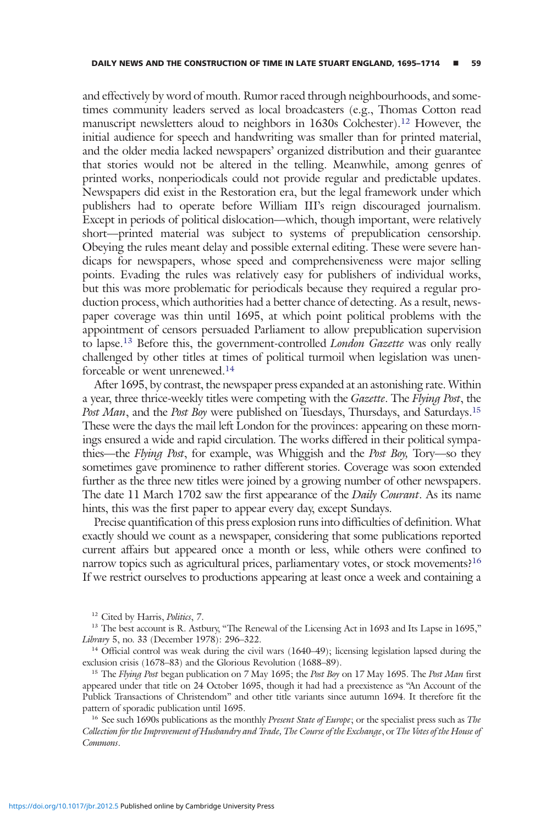and effectively by word of mouth. Rumor raced through neighbourhoods, and sometimes community leaders served as local broadcasters (e.g., Thomas Cotton read manuscript newsletters aloud to neighbors in 1630s Colchester).<sup>12</sup> However, the initial audience for speech and handwriting was smaller than for printed material, and the older media lacked newspapers' organized distribution and their guarantee that stories would not be altered in the telling. Meanwhile, among genres of printed works, nonperiodicals could not provide regular and predictable updates. Newspapers did exist in the Restoration era, but the legal framework under which publishers had to operate before William III's reign discouraged journalism. Except in periods of political dislocation—which, though important, were relatively short—printed material was subject to systems of prepublication censorship. Obeying the rules meant delay and possible external editing. These were severe handicaps for newspapers, whose speed and comprehensiveness were major selling points. Evading the rules was relatively easy for publishers of individual works, but this was more problematic for periodicals because they required a regular production process, which authorities had a better chance of detecting. As a result, newspaper coverage was thin until 1695, at which point political problems with the appointment of censors persuaded Parliament to allow prepublication supervision to lapse.<sup>13</sup> Before this, the government-controlled *London Gazette* was only really challenged by other titles at times of political turmoil when legislation was unenforceable or went unrenewed.<sup>14</sup>

After 1695, by contrast, the newspaper press expanded at an astonishing rate. Within a year, three thrice-weekly titles were competing with the Gazette. The Flying Post, the Post Man, and the Post Boy were published on Tuesdays, Thursdays, and Saturdays.<sup>15</sup> These were the days the mail left London for the provinces: appearing on these mornings ensured a wide and rapid circulation. The works differed in their political sympathies—the Flying Post, for example, was Whiggish and the Post Boy, Tory—so they sometimes gave prominence to rather different stories. Coverage was soon extended further as the three new titles were joined by a growing number of other newspapers. The date 11 March 1702 saw the first appearance of the *Daily Courant*. As its name hints, this was the first paper to appear every day, except Sundays.

Precise quantification of this press explosion runs into difficulties of definition. What exactly should we count as a newspaper, considering that some publications reported current affairs but appeared once a month or less, while others were confined to narrow topics such as agricultural prices, parliamentary votes, or stock movements?<sup>16</sup> If we restrict ourselves to productions appearing at least once a week and containing a

<sup>12</sup> Cited by Harris, Politics, 7.

<sup>13</sup> The best account is R. Astbury, "The Renewal of the Licensing Act in 1693 and Its Lapse in 1695," Library 5, no. 33 (December 1978): 296–322.

<sup>14</sup> Official control was weak during the civil wars (1640–49); licensing legislation lapsed during the exclusion crisis (1678–83) and the Glorious Revolution (1688–89).

<sup>15</sup> The *Flying Post* began publication on 7 May 1695; the Post Boy on 17 May 1695. The Post Man first appeared under that title on 24 October 1695, though it had had a preexistence as "An Account of the Publick Transactions of Christendom" and other title variants since autumn 1694. It therefore fit the pattern of sporadic publication until 1695.

<sup>16</sup> See such 1690s publications as the monthly *Present State of Europe*; or the specialist press such as *The* Collection for the Improvement of Husbandry and Trade, The Course of the Exchange, or The Votes of the House of Commons.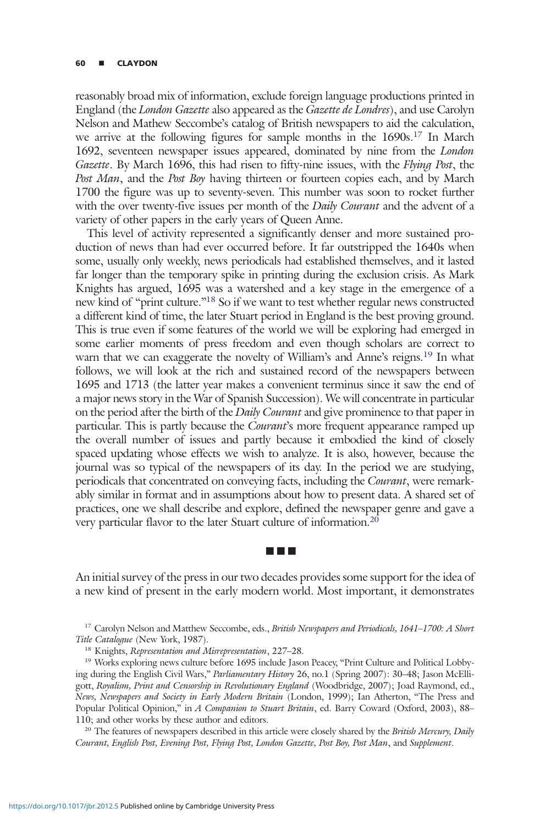#### <sup>60</sup> ▪ CLAYDON

reasonably broad mix of information, exclude foreign language productions printed in England (the London Gazette also appeared as the Gazette de Londres), and use Carolyn Nelson and Mathew Seccombe's catalog of British newspapers to aid the calculation, we arrive at the following figures for sample months in the 1690s.17 In March 1692, seventeen newspaper issues appeared, dominated by nine from the London Gazette. By March 1696, this had risen to fifty-nine issues, with the *Flying Post*, the Post Man, and the Post Boy having thirteen or fourteen copies each, and by March 1700 the figure was up to seventy-seven. This number was soon to rocket further with the over twenty-five issues per month of the *Daily Courant* and the advent of a variety of other papers in the early years of Queen Anne.

This level of activity represented a significantly denser and more sustained production of news than had ever occurred before. It far outstripped the 1640s when some, usually only weekly, news periodicals had established themselves, and it lasted far longer than the temporary spike in printing during the exclusion crisis. As Mark Knights has argued, 1695 was a watershed and a key stage in the emergence of a new kind of "print culture."<sup>18</sup> So if we want to test whether regular news constructed a different kind of time, the later Stuart period in England is the best proving ground. This is true even if some features of the world we will be exploring had emerged in some earlier moments of press freedom and even though scholars are correct to warn that we can exaggerate the novelty of William's and Anne's reigns.<sup>19</sup> In what follows, we will look at the rich and sustained record of the newspapers between 1695 and 1713 (the latter year makes a convenient terminus since it saw the end of a major news story in the War of Spanish Succession). We will concentrate in particular on the period after the birth of the *Daily Courant* and give prominence to that paper in particular. This is partly because the *Courant's* more frequent appearance ramped up the overall number of issues and partly because it embodied the kind of closely spaced updating whose effects we wish to analyze. It is also, however, because the journal was so typical of the newspapers of its day. In the period we are studying, periodicals that concentrated on conveying facts, including the Courant, were remarkably similar in format and in assumptions about how to present data. A shared set of practices, one we shall describe and explore, defined the newspaper genre and gave a very particular flavor to the later Stuart culture of information.20

An initial survey of the press in our two decades provides some support for the idea of a new kind of present in the early modern world. Most important, it demonstrates

■■■

<sup>20</sup> The features of newspapers described in this article were closely shared by the British Mercury, Daily Courant, English Post, Evening Post, Flying Post, London Gazette, Post Boy, Post Man, and Supplement.

<sup>&</sup>lt;sup>17</sup> Carolyn Nelson and Matthew Seccombe, eds., *British Newspapers and Periodicals*, 1641–1700: A Short Title Catalogue (New York, 1987).

<sup>&</sup>lt;sup>18</sup> Knights, Representation and Misrepresentation, 227-28.

<sup>&</sup>lt;sup>19</sup> Works exploring news culture before 1695 include Jason Peacey, "Print Culture and Political Lobbying during the English Civil Wars," Parliamentary History 26, no.1 (Spring 2007): 30–48; Jason McElligott, Royalism, Print and Censorship in Revolutionary England (Woodbridge, 2007); Joad Raymond, ed., News, Newspapers and Society in Early Modern Britain (London, 1999); Ian Atherton, "The Press and Popular Political Opinion," in A Companion to Stuart Britain, ed. Barry Coward (Oxford, 2003), 88– 110; and other works by these author and editors.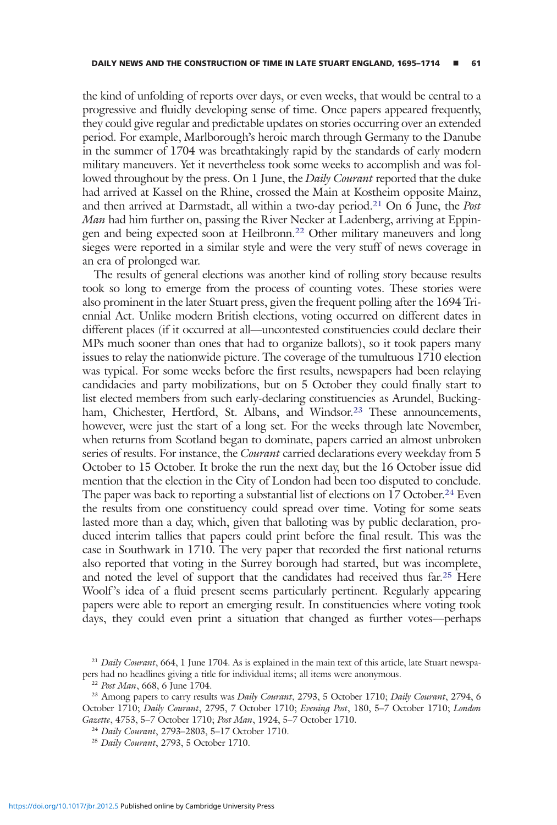the kind of unfolding of reports over days, or even weeks, that would be central to a progressive and fluidly developing sense of time. Once papers appeared frequently, they could give regular and predictable updates on stories occurring over an extended period. For example, Marlborough's heroic march through Germany to the Danube in the summer of 1704 was breathtakingly rapid by the standards of early modern military maneuvers. Yet it nevertheless took some weeks to accomplish and was followed throughout by the press. On 1 June, the *Daily Courant* reported that the duke had arrived at Kassel on the Rhine, crossed the Main at Kostheim opposite Mainz, and then arrived at Darmstadt, all within a two-day period.<sup>21</sup> On 6 June, the *Post* Man had him further on, passing the River Necker at Ladenberg, arriving at Eppingen and being expected soon at Heilbronn.<sup>22</sup> Other military maneuvers and long sieges were reported in a similar style and were the very stuff of news coverage in an era of prolonged war.

The results of general elections was another kind of rolling story because results took so long to emerge from the process of counting votes. These stories were also prominent in the later Stuart press, given the frequent polling after the 1694 Triennial Act. Unlike modern British elections, voting occurred on different dates in different places (if it occurred at all—uncontested constituencies could declare their MPs much sooner than ones that had to organize ballots), so it took papers many issues to relay the nationwide picture. The coverage of the tumultuous 1710 election was typical. For some weeks before the first results, newspapers had been relaying candidacies and party mobilizations, but on 5 October they could finally start to list elected members from such early-declaring constituencies as Arundel, Buckingham, Chichester, Hertford, St. Albans, and Windsor.<sup>23</sup> These announcements, however, were just the start of a long set. For the weeks through late November, when returns from Scotland began to dominate, papers carried an almost unbroken series of results. For instance, the *Courant* carried declarations every weekday from 5 October to 15 October. It broke the run the next day, but the 16 October issue did mention that the election in the City of London had been too disputed to conclude. The paper was back to reporting a substantial list of elections on 17 October.<sup>24</sup> Even the results from one constituency could spread over time. Voting for some seats lasted more than a day, which, given that balloting was by public declaration, produced interim tallies that papers could print before the final result. This was the case in Southwark in 1710. The very paper that recorded the first national returns also reported that voting in the Surrey borough had started, but was incomplete, and noted the level of support that the candidates had received thus far.<sup>25</sup> Here Woolf's idea of a fluid present seems particularly pertinent. Regularly appearing papers were able to report an emerging result. In constituencies where voting took days, they could even print a situation that changed as further votes—perhaps

<sup>&</sup>lt;sup>21</sup> Daily Courant, 664, 1 June 1704. As is explained in the main text of this article, late Stuart newspapers had no headlines giving a title for individual items; all items were anonymous.

<sup>22</sup> Post Man, 668, 6 June 1704.

<sup>&</sup>lt;sup>23</sup> Among papers to carry results was *Daily Courant*, 2793, 5 October 1710; *Daily Courant*, 2794, 6 October 1710; Daily Courant, 2795, 7 October 1710; Evening Post, 180, 5–7 October 1710; London Gazette, 4753, 5–7 October 1710; Post Man, 1924, 5–7 October 1710.

<sup>24</sup> Daily Courant, 2793–2803, 5–17 October 1710.

<sup>&</sup>lt;sup>25</sup> Daily Courant, 2793, 5 October 1710.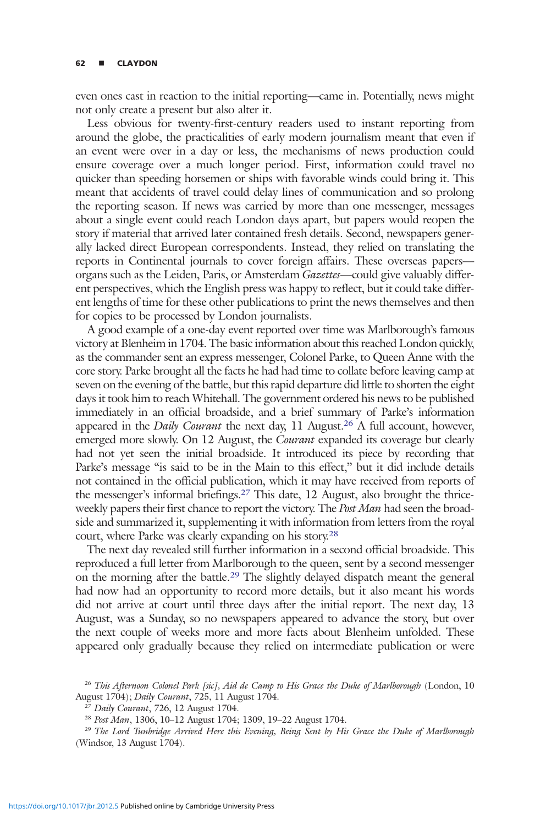even ones cast in reaction to the initial reporting—came in. Potentially, news might not only create a present but also alter it.

Less obvious for twenty-first-century readers used to instant reporting from around the globe, the practicalities of early modern journalism meant that even if an event were over in a day or less, the mechanisms of news production could ensure coverage over a much longer period. First, information could travel no quicker than speeding horsemen or ships with favorable winds could bring it. This meant that accidents of travel could delay lines of communication and so prolong the reporting season. If news was carried by more than one messenger, messages about a single event could reach London days apart, but papers would reopen the story if material that arrived later contained fresh details. Second, newspapers generally lacked direct European correspondents. Instead, they relied on translating the reports in Continental journals to cover foreign affairs. These overseas papers organs such as the Leiden, Paris, or Amsterdam Gazettes—could give valuably different perspectives, which the English press was happy to reflect, but it could take different lengths of time for these other publications to print the news themselves and then for copies to be processed by London journalists.

A good example of a one-day event reported over time was Marlborough's famous victory at Blenheim in 1704. The basic information about this reached London quickly, as the commander sent an express messenger, Colonel Parke, to Queen Anne with the core story. Parke brought all the facts he had had time to collate before leaving camp at seven on the evening of the battle, but this rapid departure did little to shorten the eight days it took him to reach Whitehall. The government ordered his news to be published immediately in an official broadside, and a brief summary of Parke's information appeared in the Daily Courant the next day, 11 August.<sup>26</sup> A full account, however, emerged more slowly. On 12 August, the *Courant* expanded its coverage but clearly had not yet seen the initial broadside. It introduced its piece by recording that Parke's message "is said to be in the Main to this effect," but it did include details not contained in the official publication, which it may have received from reports of the messenger's informal briefings.27 This date, 12 August, also brought the thriceweekly papers their first chance to report the victory. The Post Man had seen the broadside and summarized it, supplementing it with information from letters from the royal court, where Parke was clearly expanding on his story.28

The next day revealed still further information in a second official broadside. This reproduced a full letter from Marlborough to the queen, sent by a second messenger on the morning after the battle.<sup>29</sup> The slightly delayed dispatch meant the general had now had an opportunity to record more details, but it also meant his words did not arrive at court until three days after the initial report. The next day, 13 August, was a Sunday, so no newspapers appeared to advance the story, but over the next couple of weeks more and more facts about Blenheim unfolded. These appeared only gradually because they relied on intermediate publication or were

<sup>&</sup>lt;sup>26</sup> This Afternoon Colonel Park [sic], Aid de Camp to His Grace the Duke of Marlborough (London, 10 August 1704); Daily Courant, 725, 11 August 1704.

<sup>&</sup>lt;sup>27</sup> Daily Courant, 726, 12 August 1704.

<sup>28</sup> Post Man, 1306, 10–12 August 1704; 1309, 19–22 August 1704.

<sup>&</sup>lt;sup>29</sup> The Lord Tunbridge Arrived Here this Evening, Being Sent by His Grace the Duke of Marlborough (Windsor, 13 August 1704).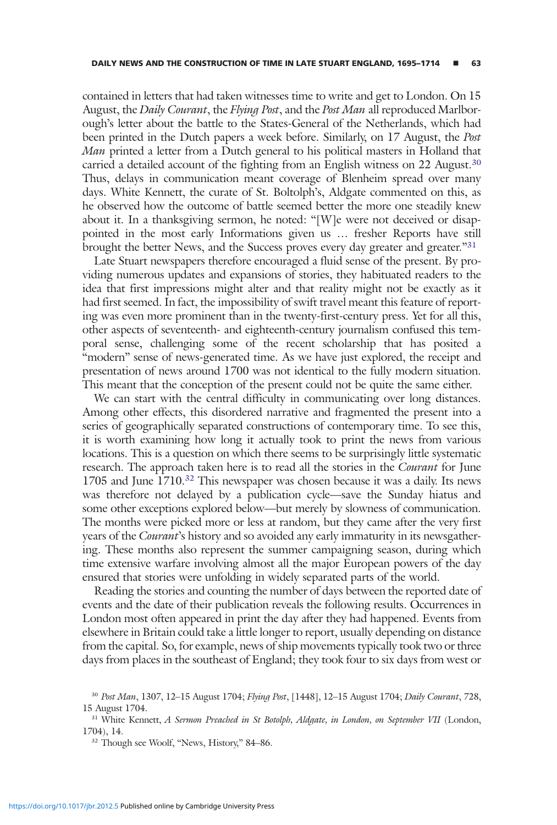contained in letters that had taken witnesses time to write and get to London. On 15 August, the Daily Courant, the Flying Post, and the Post Man all reproduced Marlborough's letter about the battle to the States-General of the Netherlands, which had been printed in the Dutch papers a week before. Similarly, on 17 August, the Post Man printed a letter from a Dutch general to his political masters in Holland that carried a detailed account of the fighting from an English witness on 22 August.<sup>30</sup> Thus, delays in communication meant coverage of Blenheim spread over many days. White Kennett, the curate of St. Boltolph's, Aldgate commented on this, as he observed how the outcome of battle seemed better the more one steadily knew about it. In a thanksgiving sermon, he noted: "[W]e were not deceived or disappointed in the most early Informations given us … fresher Reports have still brought the better News, and the Success proves every day greater and greater."<sup>31</sup>

Late Stuart newspapers therefore encouraged a fluid sense of the present. By providing numerous updates and expansions of stories, they habituated readers to the idea that first impressions might alter and that reality might not be exactly as it had first seemed. In fact, the impossibility of swift travel meant this feature of reporting was even more prominent than in the twenty-first-century press. Yet for all this, other aspects of seventeenth- and eighteenth-century journalism confused this temporal sense, challenging some of the recent scholarship that has posited a "modern" sense of news-generated time. As we have just explored, the receipt and presentation of news around 1700 was not identical to the fully modern situation. This meant that the conception of the present could not be quite the same either.

We can start with the central difficulty in communicating over long distances. Among other effects, this disordered narrative and fragmented the present into a series of geographically separated constructions of contemporary time. To see this, it is worth examining how long it actually took to print the news from various locations. This is a question on which there seems to be surprisingly little systematic research. The approach taken here is to read all the stories in the *Courant* for June 1705 and June 1710.<sup>32</sup> This newspaper was chosen because it was a daily. Its news was therefore not delayed by a publication cycle—save the Sunday hiatus and some other exceptions explored below—but merely by slowness of communication. The months were picked more or less at random, but they came after the very first years of the Courant's history and so avoided any early immaturity in its newsgathering. These months also represent the summer campaigning season, during which time extensive warfare involving almost all the major European powers of the day ensured that stories were unfolding in widely separated parts of the world.

Reading the stories and counting the number of days between the reported date of events and the date of their publication reveals the following results. Occurrences in London most often appeared in print the day after they had happened. Events from elsewhere in Britain could take a little longer to report, usually depending on distance from the capital. So, for example, news of ship movements typically took two or three days from places in the southeast of England; they took four to six days from west or

<sup>30</sup> Post Man, 1307, 12–15 August 1704; Flying Post, [1448], 12–15 August 1704; Daily Courant, 728, 15 August 1704.

<sup>&</sup>lt;sup>31</sup> White Kennett, A Sermon Preached in St Botolph, Aldgate, in London, on September VII (London, 1704), 14.

<sup>&</sup>lt;sup>32</sup> Though see Woolf, "News, History," 84-86.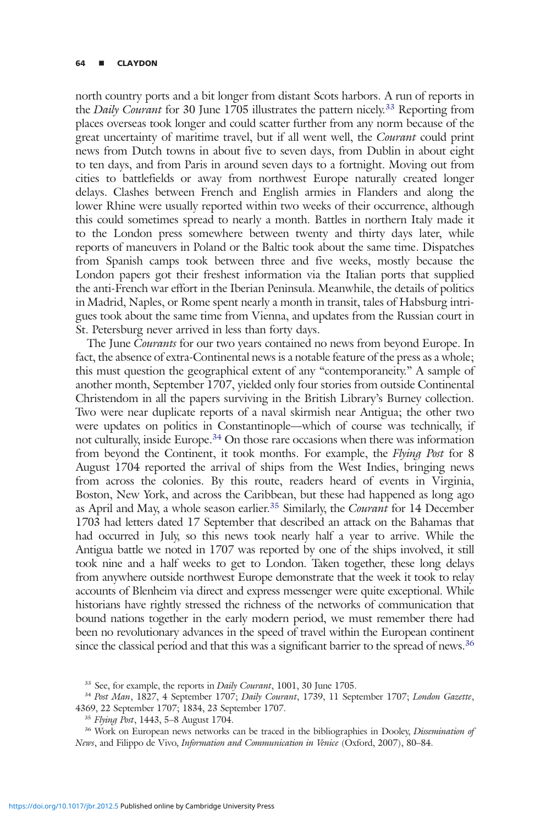#### <sup>64</sup> ▪ CLAYDON

north country ports and a bit longer from distant Scots harbors. A run of reports in the *Daily Courant* for 30 June 1705 illustrates the pattern nicely.<sup>33</sup> Reporting from places overseas took longer and could scatter further from any norm because of the great uncertainty of maritime travel, but if all went well, the Courant could print news from Dutch towns in about five to seven days, from Dublin in about eight to ten days, and from Paris in around seven days to a fortnight. Moving out from cities to battlefields or away from northwest Europe naturally created longer delays. Clashes between French and English armies in Flanders and along the lower Rhine were usually reported within two weeks of their occurrence, although this could sometimes spread to nearly a month. Battles in northern Italy made it to the London press somewhere between twenty and thirty days later, while reports of maneuvers in Poland or the Baltic took about the same time. Dispatches from Spanish camps took between three and five weeks, mostly because the London papers got their freshest information via the Italian ports that supplied the anti-French war effort in the Iberian Peninsula. Meanwhile, the details of politics in Madrid, Naples, or Rome spent nearly a month in transit, tales of Habsburg intrigues took about the same time from Vienna, and updates from the Russian court in St. Petersburg never arrived in less than forty days.

The June Courants for our two years contained no news from beyond Europe. In fact, the absence of extra-Continental news is a notable feature of the press as a whole; this must question the geographical extent of any "contemporaneity." A sample of another month, September 1707, yielded only four stories from outside Continental Christendom in all the papers surviving in the British Library's Burney collection. Two were near duplicate reports of a naval skirmish near Antigua; the other two were updates on politics in Constantinople—which of course was technically, if not culturally, inside Europe.<sup>34</sup> On those rare occasions when there was information from beyond the Continent, it took months. For example, the Flying Post for 8 August 1704 reported the arrival of ships from the West Indies, bringing news from across the colonies. By this route, readers heard of events in Virginia, Boston, New York, and across the Caribbean, but these had happened as long ago as April and May, a whole season earlier.<sup>35</sup> Similarly, the *Courant* for 14 December 1703 had letters dated 17 September that described an attack on the Bahamas that had occurred in July, so this news took nearly half a year to arrive. While the Antigua battle we noted in 1707 was reported by one of the ships involved, it still took nine and a half weeks to get to London. Taken together, these long delays from anywhere outside northwest Europe demonstrate that the week it took to relay accounts of Blenheim via direct and express messenger were quite exceptional. While historians have rightly stressed the richness of the networks of communication that bound nations together in the early modern period, we must remember there had been no revolutionary advances in the speed of travel within the European continent since the classical period and that this was a significant barrier to the spread of news.<sup>36</sup>

<sup>&</sup>lt;sup>33</sup> See, for example, the reports in *Daily Courant*, 1001, 30 June 1705.

<sup>&</sup>lt;sup>34</sup> Post Man, 1827, 4 September 1707; Daily Courant, 1739, 11 September 1707; London Gazette, 4369, 22 September 1707; 1834, 23 September 1707.

<sup>35</sup> Flying Post, 1443, 5–8 August 1704.

<sup>&</sup>lt;sup>36</sup> Work on European news networks can be traced in the bibliographies in Dooley, *Dissemination of* News, and Filippo de Vivo, Information and Communication in Venice (Oxford, 2007), 80–84.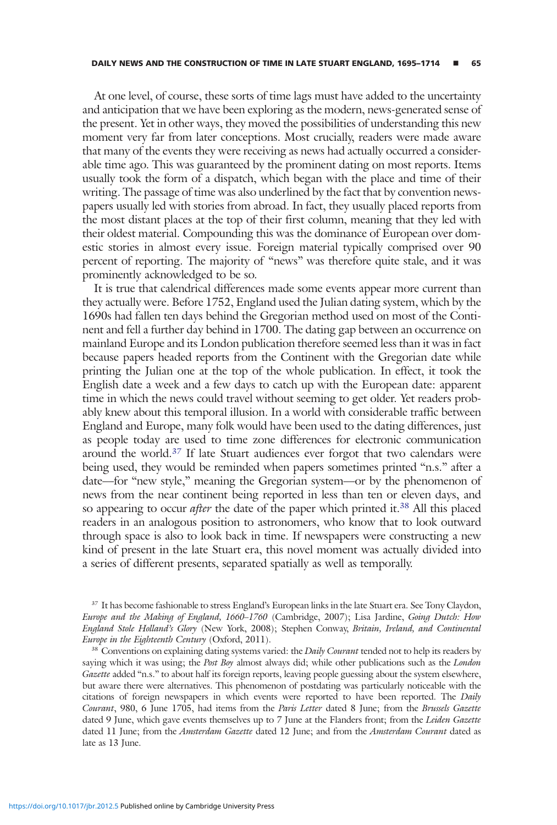At one level, of course, these sorts of time lags must have added to the uncertainty and anticipation that we have been exploring as the modern, news-generated sense of the present. Yet in other ways, they moved the possibilities of understanding this new moment very far from later conceptions. Most crucially, readers were made aware that many of the events they were receiving as news had actually occurred a considerable time ago. This was guaranteed by the prominent dating on most reports. Items usually took the form of a dispatch, which began with the place and time of their writing. The passage of time was also underlined by the fact that by convention newspapers usually led with stories from abroad. In fact, they usually placed reports from the most distant places at the top of their first column, meaning that they led with their oldest material. Compounding this was the dominance of European over domestic stories in almost every issue. Foreign material typically comprised over 90 percent of reporting. The majority of "news" was therefore quite stale, and it was prominently acknowledged to be so.

It is true that calendrical differences made some events appear more current than they actually were. Before 1752, England used the Julian dating system, which by the 1690s had fallen ten days behind the Gregorian method used on most of the Continent and fell a further day behind in 1700. The dating gap between an occurrence on mainland Europe and its London publication therefore seemed less than it was in fact because papers headed reports from the Continent with the Gregorian date while printing the Julian one at the top of the whole publication. In effect, it took the English date a week and a few days to catch up with the European date: apparent time in which the news could travel without seeming to get older. Yet readers probably knew about this temporal illusion. In a world with considerable traffic between England and Europe, many folk would have been used to the dating differences, just as people today are used to time zone differences for electronic communication around the world.<sup>37</sup> If late Stuart audiences ever forgot that two calendars were being used, they would be reminded when papers sometimes printed "n.s." after a date—for "new style," meaning the Gregorian system—or by the phenomenon of news from the near continent being reported in less than ten or eleven days, and so appearing to occur *after* the date of the paper which printed it.<sup>38</sup> All this placed readers in an analogous position to astronomers, who know that to look outward through space is also to look back in time. If newspapers were constructing a new kind of present in the late Stuart era, this novel moment was actually divided into a series of different presents, separated spatially as well as temporally.

<sup>&</sup>lt;sup>37</sup> It has become fashionable to stress England's European links in the late Stuart era. See Tony Claydon, Europe and the Making of England, 1660–1760 (Cambridge, 2007); Lisa Jardine, Going Dutch: How England Stole Holland's Glory (New York, 2008); Stephen Conway, Britain, Ireland, and Continental Europe in the Eighteenth Century (Oxford, 2011).

<sup>&</sup>lt;sup>38</sup> Conventions on explaining dating systems varied: the *Daily Courant* tended not to help its readers by saying which it was using; the Post Boy almost always did; while other publications such as the London Gazette added "n.s." to about half its foreign reports, leaving people guessing about the system elsewhere, but aware there were alternatives. This phenomenon of postdating was particularly noticeable with the citations of foreign newspapers in which events were reported to have been reported. The Daily Courant, 980, 6 June 1705, had items from the Paris Letter dated 8 June; from the Brussels Gazette dated 9 June, which gave events themselves up to 7 June at the Flanders front; from the Leiden Gazette dated 11 June; from the Amsterdam Gazette dated 12 June; and from the Amsterdam Courant dated as late as 13 June.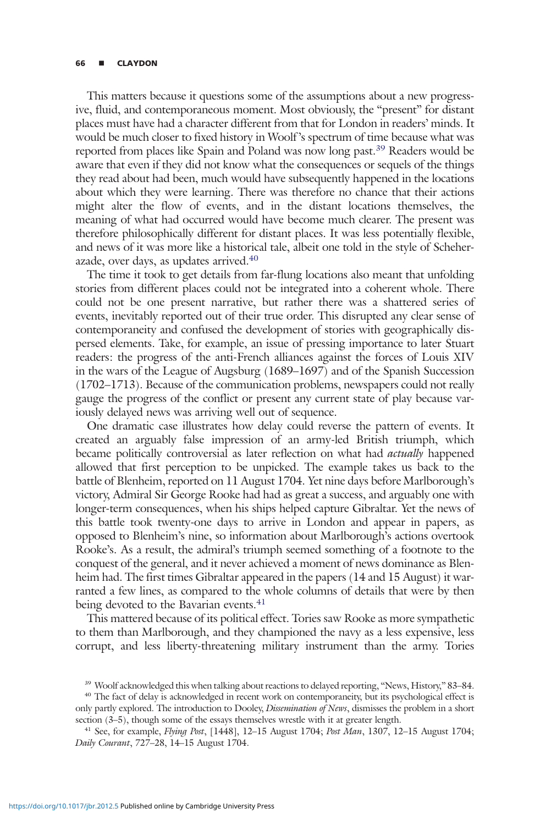# <sup>66</sup> ▪ CLAYDON

This matters because it questions some of the assumptions about a new progressive, fluid, and contemporaneous moment. Most obviously, the "present" for distant places must have had a character different from that for London in readers' minds. It would be much closer to fixed history in Woolf 's spectrum of time because what was reported from places like Spain and Poland was now long past.<sup>39</sup> Readers would be aware that even if they did not know what the consequences or sequels of the things they read about had been, much would have subsequently happened in the locations about which they were learning. There was therefore no chance that their actions might alter the flow of events, and in the distant locations themselves, the meaning of what had occurred would have become much clearer. The present was therefore philosophically different for distant places. It was less potentially flexible, and news of it was more like a historical tale, albeit one told in the style of Scheherazade, over days, as updates arrived.40

The time it took to get details from far-flung locations also meant that unfolding stories from different places could not be integrated into a coherent whole. There could not be one present narrative, but rather there was a shattered series of events, inevitably reported out of their true order. This disrupted any clear sense of contemporaneity and confused the development of stories with geographically dispersed elements. Take, for example, an issue of pressing importance to later Stuart readers: the progress of the anti-French alliances against the forces of Louis XIV in the wars of the League of Augsburg (1689–1697) and of the Spanish Succession (1702–1713). Because of the communication problems, newspapers could not really gauge the progress of the conflict or present any current state of play because variously delayed news was arriving well out of sequence.

One dramatic case illustrates how delay could reverse the pattern of events. It created an arguably false impression of an army-led British triumph, which became politically controversial as later reflection on what had *actually* happened allowed that first perception to be unpicked. The example takes us back to the battle of Blenheim, reported on 11 August 1704. Yet nine days before Marlborough's victory, Admiral Sir George Rooke had had as great a success, and arguably one with longer-term consequences, when his ships helped capture Gibraltar. Yet the news of this battle took twenty-one days to arrive in London and appear in papers, as opposed to Blenheim's nine, so information about Marlborough's actions overtook Rooke's. As a result, the admiral's triumph seemed something of a footnote to the conquest of the general, and it never achieved a moment of news dominance as Blenheim had. The first times Gibraltar appeared in the papers (14 and 15 August) it warranted a few lines, as compared to the whole columns of details that were by then being devoted to the Bavarian events.<sup>41</sup>

This mattered because of its political effect. Tories saw Rooke as more sympathetic to them than Marlborough, and they championed the navy as a less expensive, less corrupt, and less liberty-threatening military instrument than the army. Tories

<sup>39</sup> Woolf acknowledged this when talking about reactions to delayed reporting, "News, History," 83–84.

<sup>&</sup>lt;sup>40</sup> The fact of delay is acknowledged in recent work on contemporaneity, but its psychological effect is only partly explored. The introduction to Dooley, *Dissemination of News*, dismisses the problem in a short section (3–5), though some of the essays themselves wrestle with it at greater length.

<sup>&</sup>lt;sup>41</sup> See, for example, *Flying Post*,  $[1448]$ ,  $12-15$  August  $1704$ ; *Post Man*,  $1307$ ,  $12-15$  August  $1704$ ; Daily Courant, 727–28, 14–15 August 1704.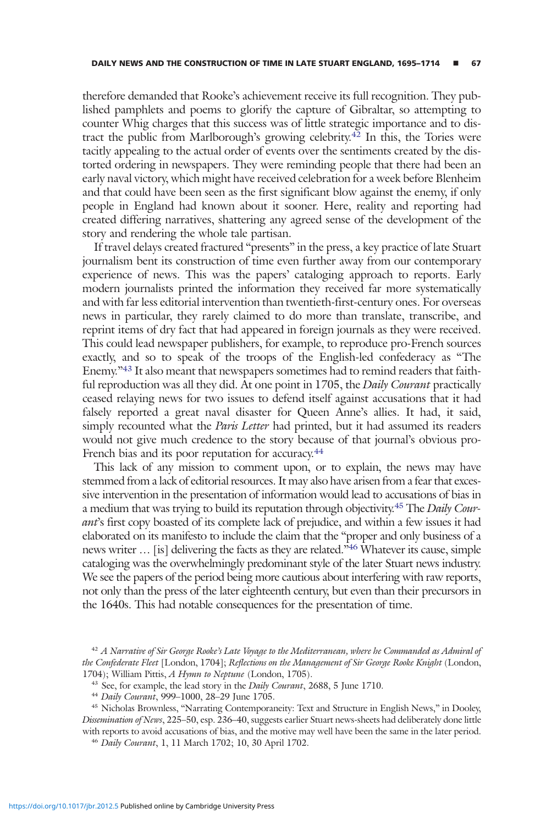therefore demanded that Rooke's achievement receive its full recognition. They published pamphlets and poems to glorify the capture of Gibraltar, so attempting to counter Whig charges that this success was of little strategic importance and to distract the public from Marlborough's growing celebrity.<sup>42</sup> In this, the Tories were tacitly appealing to the actual order of events over the sentiments created by the distorted ordering in newspapers. They were reminding people that there had been an early naval victory, which might have received celebration for a week before Blenheim and that could have been seen as the first significant blow against the enemy, if only people in England had known about it sooner. Here, reality and reporting had created differing narratives, shattering any agreed sense of the development of the story and rendering the whole tale partisan.

If travel delays created fractured "presents" in the press, a key practice of late Stuart journalism bent its construction of time even further away from our contemporary experience of news. This was the papers' cataloging approach to reports. Early modern journalists printed the information they received far more systematically and with far less editorial intervention than twentieth-first-century ones. For overseas news in particular, they rarely claimed to do more than translate, transcribe, and reprint items of dry fact that had appeared in foreign journals as they were received. This could lead newspaper publishers, for example, to reproduce pro-French sources exactly, and so to speak of the troops of the English-led confederacy as "The Enemy."<sup>43</sup> It also meant that newspapers sometimes had to remind readers that faithful reproduction was all they did. At one point in 1705, the *Daily Courant* practically ceased relaying news for two issues to defend itself against accusations that it had falsely reported a great naval disaster for Queen Anne's allies. It had, it said, simply recounted what the *Paris Letter* had printed, but it had assumed its readers would not give much credence to the story because of that journal's obvious pro-French bias and its poor reputation for accuracy.<sup>44</sup>

This lack of any mission to comment upon, or to explain, the news may have stemmed from a lack of editorial resources. It may also have arisen from a fear that excessive intervention in the presentation of information would lead to accusations of bias in a medium that was trying to build its reputation through objectivity.<sup>45</sup> The *Daily Cour*ant's first copy boasted of its complete lack of prejudice, and within a few issues it had elaborated on its manifesto to include the claim that the "proper and only business of a news writer ... [is] delivering the facts as they are related.<sup>546</sup> Whatever its cause, simple cataloging was the overwhelmingly predominant style of the later Stuart news industry. We see the papers of the period being more cautious about interfering with raw reports, not only than the press of the later eighteenth century, but even than their precursors in the 1640s. This had notable consequences for the presentation of time.

 $42$  A Narrative of Sir George Rooke's Late Voyage to the Mediterranean, where he Commanded as Admiral of the Confederate Fleet [London, 1704]; Reflections on the Management of Sir George Rooke Knight (London, 1704); William Pittis, A Hymn to Neptune (London, 1705).

<sup>45</sup> Nicholas Brownless, "Narrating Contemporaneity: Text and Structure in English News," in Dooley, Dissemination of News, 225–50, esp. 236–40, suggests earlier Stuart news-sheets had deliberately done little with reports to avoid accusations of bias, and the motive may well have been the same in the later period.

<sup>46</sup> Daily Courant, 1, 11 March 1702; 10, 30 April 1702.

<sup>&</sup>lt;sup>43</sup> See, for example, the lead story in the *Daily Courant*, 2688, 5 June 1710.

<sup>44</sup> Daily Courant, 999–1000, 28–29 June 1705.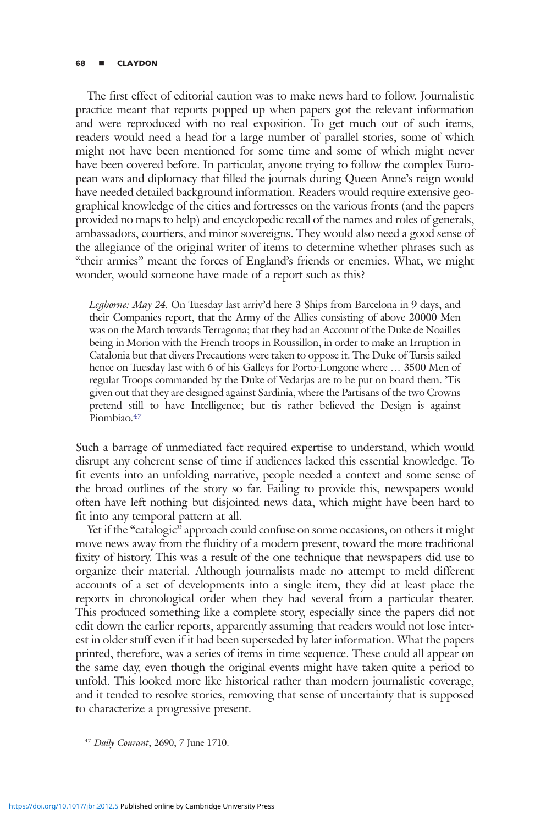# <sup>68</sup> ▪ CLAYDON

The first effect of editorial caution was to make news hard to follow. Journalistic practice meant that reports popped up when papers got the relevant information and were reproduced with no real exposition. To get much out of such items, readers would need a head for a large number of parallel stories, some of which might not have been mentioned for some time and some of which might never have been covered before. In particular, anyone trying to follow the complex European wars and diplomacy that filled the journals during Queen Anne's reign would have needed detailed background information. Readers would require extensive geographical knowledge of the cities and fortresses on the various fronts (and the papers provided no maps to help) and encyclopedic recall of the names and roles of generals, ambassadors, courtiers, and minor sovereigns. They would also need a good sense of the allegiance of the original writer of items to determine whether phrases such as "their armies" meant the forces of England's friends or enemies. What, we might wonder, would someone have made of a report such as this?

Leghorne: May 24. On Tuesday last arriv'd here 3 Ships from Barcelona in 9 days, and their Companies report, that the Army of the Allies consisting of above 20000 Men was on the March towards Terragona; that they had an Account of the Duke de Noailles being in Morion with the French troops in Roussillon, in order to make an Irruption in Catalonia but that divers Precautions were taken to oppose it. The Duke of Tursis sailed hence on Tuesday last with 6 of his Galleys for Porto-Longone where … 3500 Men of regular Troops commanded by the Duke of Vedarjas are to be put on board them. 'Tis given out that they are designed against Sardinia, where the Partisans of the two Crowns pretend still to have Intelligence; but tis rather believed the Design is against Piombiao.<sup>47</sup>

Such a barrage of unmediated fact required expertise to understand, which would disrupt any coherent sense of time if audiences lacked this essential knowledge. To fit events into an unfolding narrative, people needed a context and some sense of the broad outlines of the story so far. Failing to provide this, newspapers would often have left nothing but disjointed news data, which might have been hard to fit into any temporal pattern at all.

Yet if the "catalogic" approach could confuse on some occasions, on others it might move news away from the fluidity of a modern present, toward the more traditional fixity of history. This was a result of the one technique that newspapers did use to organize their material. Although journalists made no attempt to meld different accounts of a set of developments into a single item, they did at least place the reports in chronological order when they had several from a particular theater. This produced something like a complete story, especially since the papers did not edit down the earlier reports, apparently assuming that readers would not lose interest in older stuff even if it had been superseded by later information. What the papers printed, therefore, was a series of items in time sequence. These could all appear on the same day, even though the original events might have taken quite a period to unfold. This looked more like historical rather than modern journalistic coverage, and it tended to resolve stories, removing that sense of uncertainty that is supposed to characterize a progressive present.

<sup>47</sup> Daily Courant, 2690, 7 June 1710.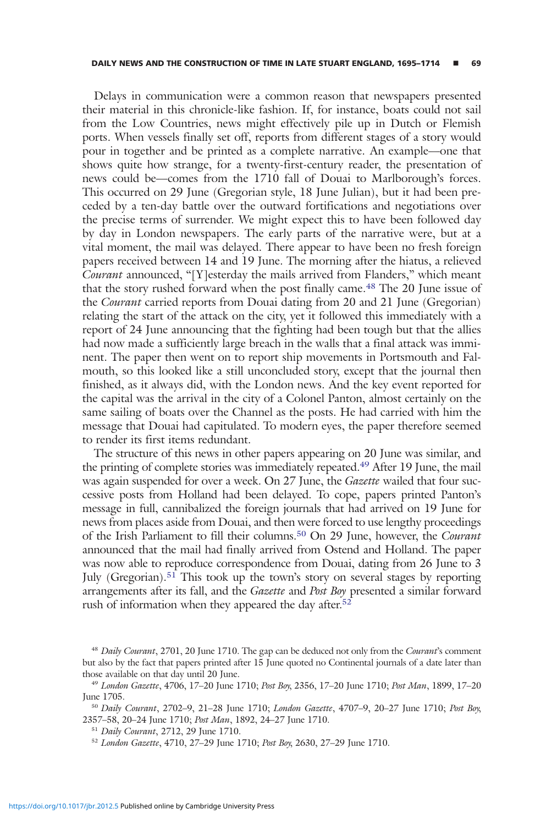Delays in communication were a common reason that newspapers presented their material in this chronicle-like fashion. If, for instance, boats could not sail from the Low Countries, news might effectively pile up in Dutch or Flemish ports. When vessels finally set off, reports from different stages of a story would pour in together and be printed as a complete narrative. An example—one that shows quite how strange, for a twenty-first-century reader, the presentation of news could be—comes from the 1710 fall of Douai to Marlborough's forces. This occurred on 29 June (Gregorian style, 18 June Julian), but it had been preceded by a ten-day battle over the outward fortifications and negotiations over the precise terms of surrender. We might expect this to have been followed day by day in London newspapers. The early parts of the narrative were, but at a vital moment, the mail was delayed. There appear to have been no fresh foreign papers received between 14 and 19 June. The morning after the hiatus, a relieved Courant announced, "[Y]esterday the mails arrived from Flanders," which meant that the story rushed forward when the post finally came.<sup>48</sup> The 20 June issue of the *Courant* carried reports from Douai dating from 20 and 21 June (Gregorian) relating the start of the attack on the city, yet it followed this immediately with a report of 24 June announcing that the fighting had been tough but that the allies had now made a sufficiently large breach in the walls that a final attack was imminent. The paper then went on to report ship movements in Portsmouth and Falmouth, so this looked like a still unconcluded story, except that the journal then finished, as it always did, with the London news. And the key event reported for the capital was the arrival in the city of a Colonel Panton, almost certainly on the same sailing of boats over the Channel as the posts. He had carried with him the message that Douai had capitulated. To modern eyes, the paper therefore seemed to render its first items redundant.

The structure of this news in other papers appearing on 20 June was similar, and the printing of complete stories was immediately repeated.49 After 19 June, the mail was again suspended for over a week. On 27 June, the *Gazette* wailed that four successive posts from Holland had been delayed. To cope, papers printed Panton's message in full, cannibalized the foreign journals that had arrived on 19 June for news from places aside from Douai, and then were forced to use lengthy proceedings of the Irish Parliament to fill their columns.<sup>50</sup> On 29 June, however, the Courant announced that the mail had finally arrived from Ostend and Holland. The paper was now able to reproduce correspondence from Douai, dating from 26 June to 3 July (Gregorian).<sup>51</sup> This took up the town's story on several stages by reporting arrangements after its fall, and the Gazette and Post Boy presented a similar forward rush of information when they appeared the day after.<sup>52</sup>

<sup>&</sup>lt;sup>48</sup> Daily Courant, 2701, 20 June 1710. The gap can be deduced not only from the Courant's comment but also by the fact that papers printed after 15 June quoted no Continental journals of a date later than those available on that day until 20 June.

<sup>49</sup> London Gazette, 4706, 17–20 June 1710; Post Boy, 2356, 17–20 June 1710; Post Man, 1899, 17–20 June 1705.

<sup>50</sup> Daily Courant, 2702–9, 21–28 June 1710; London Gazette, 4707–9, 20–27 June 1710; Post Boy, 2357–58, 20–24 June 1710; Post Man, 1892, 24–27 June 1710.

<sup>51</sup> Daily Courant, 2712, 29 June 1710.

<sup>52</sup> London Gazette, 4710, 27–29 June 1710; Post Boy, 2630, 27–29 June 1710.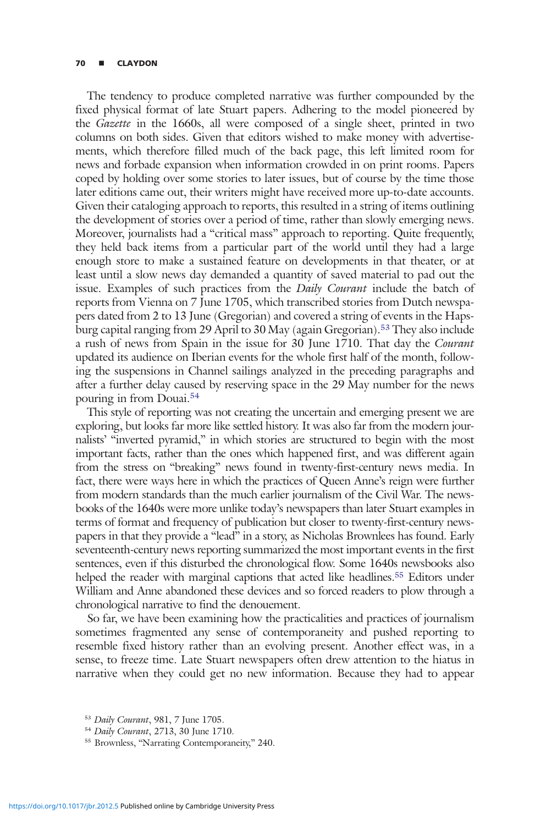# 70 **E** CLAYDON

The tendency to produce completed narrative was further compounded by the fixed physical format of late Stuart papers. Adhering to the model pioneered by the Gazette in the 1660s, all were composed of a single sheet, printed in two columns on both sides. Given that editors wished to make money with advertisements, which therefore filled much of the back page, this left limited room for news and forbade expansion when information crowded in on print rooms. Papers coped by holding over some stories to later issues, but of course by the time those later editions came out, their writers might have received more up-to-date accounts. Given their cataloging approach to reports, this resulted in a string of items outlining the development of stories over a period of time, rather than slowly emerging news. Moreover, journalists had a "critical mass" approach to reporting. Quite frequently, they held back items from a particular part of the world until they had a large enough store to make a sustained feature on developments in that theater, or at least until a slow news day demanded a quantity of saved material to pad out the issue. Examples of such practices from the *Daily Courant* include the batch of reports from Vienna on 7 June 1705, which transcribed stories from Dutch newspapers dated from 2 to 13 June (Gregorian) and covered a string of events in the Hapsburg capital ranging from 29 April to 30 May (again Gregorian).<sup>53</sup> They also include a rush of news from Spain in the issue for 30 June 1710. That day the Courant updated its audience on Iberian events for the whole first half of the month, following the suspensions in Channel sailings analyzed in the preceding paragraphs and after a further delay caused by reserving space in the 29 May number for the news pouring in from Douai.<sup>54</sup>

This style of reporting was not creating the uncertain and emerging present we are exploring, but looks far more like settled history. It was also far from the modern journalists' "inverted pyramid," in which stories are structured to begin with the most important facts, rather than the ones which happened first, and was different again from the stress on "breaking" news found in twenty-first-century news media. In fact, there were ways here in which the practices of Queen Anne's reign were further from modern standards than the much earlier journalism of the Civil War. The newsbooks of the 1640s were more unlike today's newspapers than later Stuart examples in terms of format and frequency of publication but closer to twenty-first-century newspapers in that they provide a "lead" in a story, as Nicholas Brownlees has found. Early seventeenth-century news reporting summarized the most important events in the first sentences, even if this disturbed the chronological flow. Some 1640s newsbooks also helped the reader with marginal captions that acted like headlines.55 Editors under William and Anne abandoned these devices and so forced readers to plow through a chronological narrative to find the denouement.

So far, we have been examining how the practicalities and practices of journalism sometimes fragmented any sense of contemporaneity and pushed reporting to resemble fixed history rather than an evolving present. Another effect was, in a sense, to freeze time. Late Stuart newspapers often drew attention to the hiatus in narrative when they could get no new information. Because they had to appear

<sup>53</sup> Daily Courant, 981, 7 June 1705.

<sup>54</sup> Daily Courant, 2713, 30 June 1710.

<sup>55</sup> Brownless, "Narrating Contemporaneity," 240.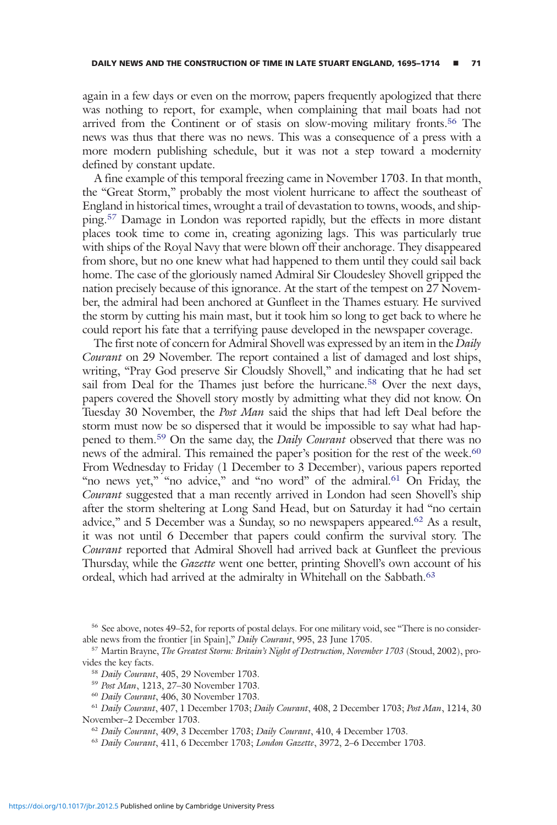again in a few days or even on the morrow, papers frequently apologized that there was nothing to report, for example, when complaining that mail boats had not arrived from the Continent or of stasis on slow-moving military fronts.<sup>56</sup> The news was thus that there was no news. This was a consequence of a press with a more modern publishing schedule, but it was not a step toward a modernity defined by constant update.

A fine example of this temporal freezing came in November 1703. In that month, the "Great Storm," probably the most violent hurricane to affect the southeast of England in historical times, wrought a trail of devastation to towns, woods, and shipping.<sup>57</sup> Damage in London was reported rapidly, but the effects in more distant places took time to come in, creating agonizing lags. This was particularly true with ships of the Royal Navy that were blown off their anchorage. They disappeared from shore, but no one knew what had happened to them until they could sail back home. The case of the gloriously named Admiral Sir Cloudesley Shovell gripped the nation precisely because of this ignorance. At the start of the tempest on 27 November, the admiral had been anchored at Gunfleet in the Thames estuary. He survived the storm by cutting his main mast, but it took him so long to get back to where he could report his fate that a terrifying pause developed in the newspaper coverage.

The first note of concern for Admiral Shovell was expressed by an item in the Daily Courant on 29 November. The report contained a list of damaged and lost ships, writing, "Pray God preserve Sir Cloudsly Shovell," and indicating that he had set sail from Deal for the Thames just before the hurricane.<sup>58</sup> Over the next days, papers covered the Shovell story mostly by admitting what they did not know. On Tuesday 30 November, the Post Man said the ships that had left Deal before the storm must now be so dispersed that it would be impossible to say what had happened to them.<sup>59</sup> On the same day, the *Daily Courant* observed that there was no news of the admiral. This remained the paper's position for the rest of the week.<sup>60</sup> From Wednesday to Friday (1 December to 3 December), various papers reported "no news yet," "no advice," and "no word" of the admiral.<sup>61</sup> On Friday, the Courant suggested that a man recently arrived in London had seen Shovell's ship after the storm sheltering at Long Sand Head, but on Saturday it had "no certain advice," and 5 December was a Sunday, so no newspapers appeared.62 As a result, it was not until 6 December that papers could confirm the survival story. The Courant reported that Admiral Shovell had arrived back at Gunfleet the previous Thursday, while the Gazette went one better, printing Shovell's own account of his ordeal, which had arrived at the admiralty in Whitehall on the Sabbath.<sup>63</sup>

<sup>56</sup> See above, notes 49–52, for reports of postal delays. For one military void, see "There is no considerable news from the frontier [in Spain]," Daily Courant, 995, 23 June 1705.

<sup>&</sup>lt;sup>57</sup> Martin Brayne, The Greatest Storm: Britain's Night of Destruction, November 1703 (Stoud, 2002), provides the key facts.

<sup>58</sup> Daily Courant, 405, 29 November 1703.

<sup>59</sup> Post Man, 1213, 27–30 November 1703.

<sup>60</sup> Daily Courant, 406, 30 November 1703.

<sup>61</sup> Daily Courant, 407, 1 December 1703; Daily Courant, 408, 2 December 1703; Post Man, 1214, 30 November–2 December 1703.

<sup>&</sup>lt;sup>62</sup> Daily Courant, 409, 3 December 1703; Daily Courant, 410, 4 December 1703.

<sup>63</sup> Daily Courant, 411, 6 December 1703; London Gazette, 3972, 2–6 December 1703.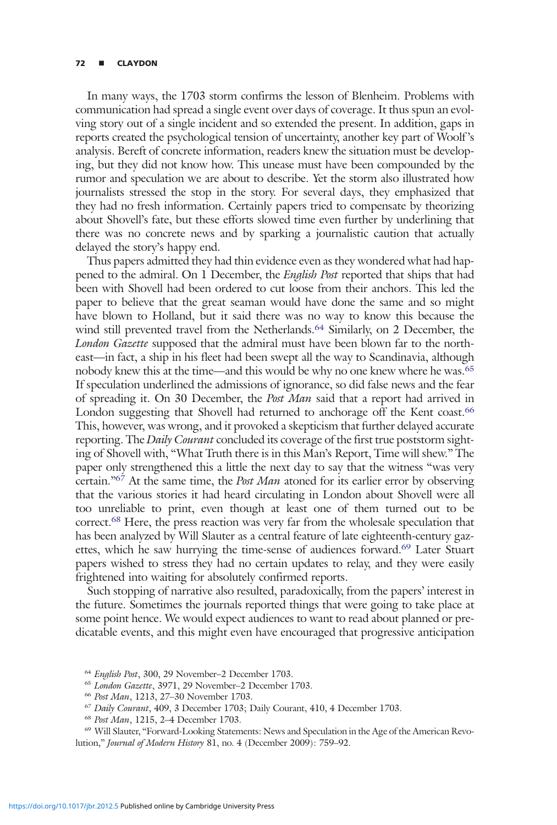# 72 **E** CLAYDON

In many ways, the 1703 storm confirms the lesson of Blenheim. Problems with communication had spread a single event over days of coverage. It thus spun an evolving story out of a single incident and so extended the present. In addition, gaps in reports created the psychological tension of uncertainty, another key part of Woolf 's analysis. Bereft of concrete information, readers knew the situation must be developing, but they did not know how. This unease must have been compounded by the rumor and speculation we are about to describe. Yet the storm also illustrated how journalists stressed the stop in the story. For several days, they emphasized that they had no fresh information. Certainly papers tried to compensate by theorizing about Shovell's fate, but these efforts slowed time even further by underlining that there was no concrete news and by sparking a journalistic caution that actually delayed the story's happy end.

Thus papers admitted they had thin evidence even as they wondered what had happened to the admiral. On 1 December, the English Post reported that ships that had been with Shovell had been ordered to cut loose from their anchors. This led the paper to believe that the great seaman would have done the same and so might have blown to Holland, but it said there was no way to know this because the wind still prevented travel from the Netherlands.<sup>64</sup> Similarly, on 2 December, the London Gazette supposed that the admiral must have been blown far to the northeast—in fact, a ship in his fleet had been swept all the way to Scandinavia, although nobody knew this at the time—and this would be why no one knew where he was.<sup>65</sup> If speculation underlined the admissions of ignorance, so did false news and the fear of spreading it. On 30 December, the Post Man said that a report had arrived in London suggesting that Shovell had returned to anchorage off the Kent coast.<sup>66</sup> This, however, was wrong, and it provoked a skepticism that further delayed accurate reporting. The Daily Courant concluded its coverage of the first true poststorm sighting of Shovell with, "What Truth there is in this Man's Report, Time will shew." The paper only strengthened this a little the next day to say that the witness "was very certain."<sup>67</sup> At the same time, the *Post Man* atoned for its earlier error by observing that the various stories it had heard circulating in London about Shovell were all too unreliable to print, even though at least one of them turned out to be correct.68 Here, the press reaction was very far from the wholesale speculation that has been analyzed by Will Slauter as a central feature of late eighteenth-century gazettes, which he saw hurrying the time-sense of audiences forward.<sup>69</sup> Later Stuart papers wished to stress they had no certain updates to relay, and they were easily frightened into waiting for absolutely confirmed reports.

Such stopping of narrative also resulted, paradoxically, from the papers' interest in the future. Sometimes the journals reported things that were going to take place at some point hence. We would expect audiences to want to read about planned or predicatable events, and this might even have encouraged that progressive anticipation

<sup>64</sup> English Post, 300, 29 November–2 December 1703.

<sup>65</sup> London Gazette, 3971, 29 November–2 December 1703.

<sup>66</sup> Post Man, 1213, 27–30 November 1703.

<sup>67</sup> Daily Courant, 409, 3 December 1703; Daily Courant, 410, 4 December 1703.

<sup>68</sup> Post Man, 1215, 2–4 December 1703.

<sup>69</sup> Will Slauter, "Forward-Looking Statements: News and Speculation in the Age of the American Revolution," Journal of Modern History 81, no. 4 (December 2009): 759–92.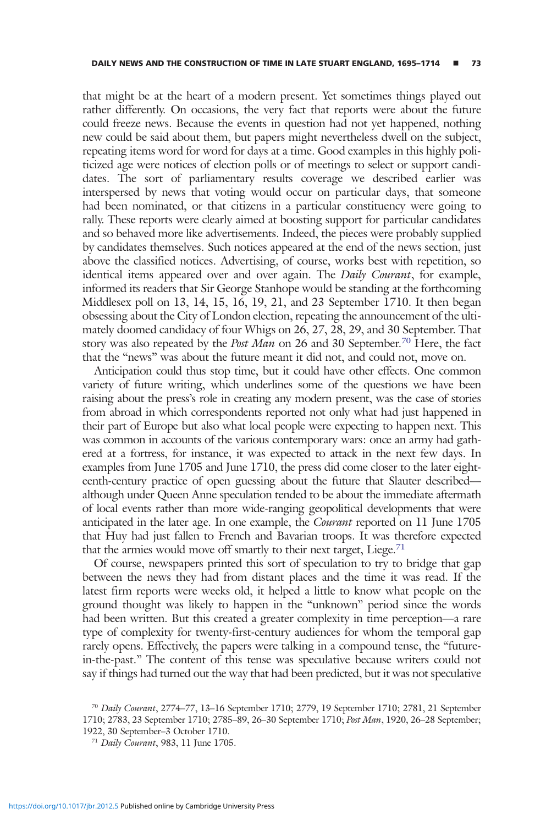that might be at the heart of a modern present. Yet sometimes things played out rather differently. On occasions, the very fact that reports were about the future could freeze news. Because the events in question had not yet happened, nothing new could be said about them, but papers might nevertheless dwell on the subject, repeating items word for word for days at a time. Good examples in this highly politicized age were notices of election polls or of meetings to select or support candidates. The sort of parliamentary results coverage we described earlier was interspersed by news that voting would occur on particular days, that someone had been nominated, or that citizens in a particular constituency were going to rally. These reports were clearly aimed at boosting support for particular candidates and so behaved more like advertisements. Indeed, the pieces were probably supplied by candidates themselves. Such notices appeared at the end of the news section, just above the classified notices. Advertising, of course, works best with repetition, so identical items appeared over and over again. The Daily Courant, for example, informed its readers that Sir George Stanhope would be standing at the forthcoming Middlesex poll on 13, 14, 15, 16, 19, 21, and 23 September 1710. It then began obsessing about the City of London election, repeating the announcement of the ultimately doomed candidacy of four Whigs on 26, 27, 28, 29, and 30 September. That story was also repeated by the *Post Man* on 26 and 30 September.<sup>70</sup> Here, the fact that the "news" was about the future meant it did not, and could not, move on.

Anticipation could thus stop time, but it could have other effects. One common variety of future writing, which underlines some of the questions we have been raising about the press's role in creating any modern present, was the case of stories from abroad in which correspondents reported not only what had just happened in their part of Europe but also what local people were expecting to happen next. This was common in accounts of the various contemporary wars: once an army had gathered at a fortress, for instance, it was expected to attack in the next few days. In examples from June 1705 and June 1710, the press did come closer to the later eighteenth-century practice of open guessing about the future that Slauter described although under Queen Anne speculation tended to be about the immediate aftermath of local events rather than more wide-ranging geopolitical developments that were anticipated in the later age. In one example, the *Courant* reported on 11 June 1705 that Huy had just fallen to French and Bavarian troops. It was therefore expected that the armies would move off smartly to their next target, Liege.<sup>71</sup>

Of course, newspapers printed this sort of speculation to try to bridge that gap between the news they had from distant places and the time it was read. If the latest firm reports were weeks old, it helped a little to know what people on the ground thought was likely to happen in the "unknown" period since the words had been written. But this created a greater complexity in time perception—a rare type of complexity for twenty-first-century audiences for whom the temporal gap rarely opens. Effectively, the papers were talking in a compound tense, the "futurein-the-past." The content of this tense was speculative because writers could not say if things had turned out the way that had been predicted, but it was not speculative

<sup>70</sup> Daily Courant, 2774–77, 13–16 September 1710; 2779, 19 September 1710; 2781, 21 September 1710; 2783, 23 September 1710; 2785–89, 26–30 September 1710; Post Man, 1920, 26–28 September; 1922, 30 September–3 October 1710.

<sup>71</sup> Daily Courant, 983, 11 June 1705.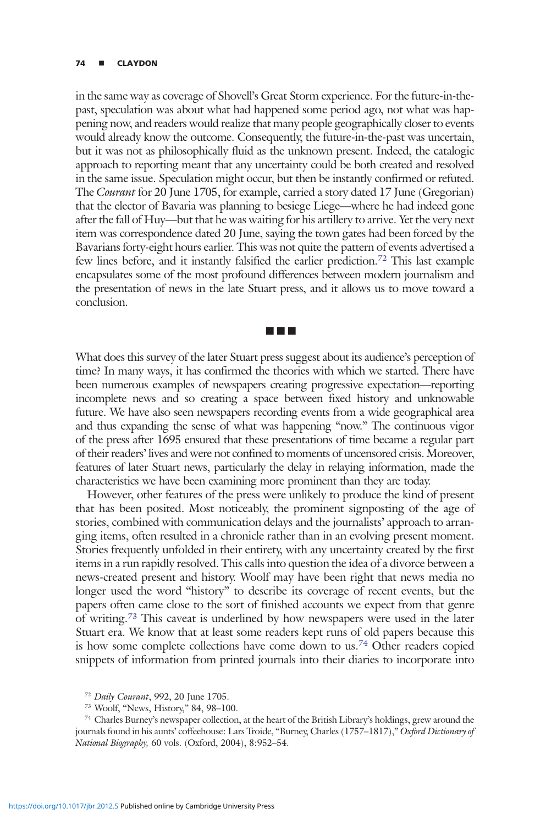# 74 **E** CLAYDON

in the same way as coverage of Shovell's Great Storm experience. For the future-in-thepast, speculation was about what had happened some period ago, not what was happening now, and readers would realize that many people geographically closer to events would already know the outcome. Consequently, the future-in-the-past was uncertain, but it was not as philosophically fluid as the unknown present. Indeed, the catalogic approach to reporting meant that any uncertainty could be both created and resolved in the same issue. Speculation might occur, but then be instantly confirmed or refuted. The Courant for 20 June 1705, for example, carried a story dated 17 June (Gregorian) that the elector of Bavaria was planning to besiege Liege—where he had indeed gone after the fall of Huy—but that he was waiting for his artillery to arrive. Yet the very next item was correspondence dated 20 June, saying the town gates had been forced by the Bavarians forty-eight hours earlier. This was not quite the pattern of events advertised a few lines before, and it instantly falsified the earlier prediction.72 This last example encapsulates some of the most profound differences between modern journalism and the presentation of news in the late Stuart press, and it allows us to move toward a conclusion.

What does this survey of the later Stuart press suggest about its audience's perception of time? In many ways, it has confirmed the theories with which we started. There have been numerous examples of newspapers creating progressive expectation—reporting incomplete news and so creating a space between fixed history and unknowable future. We have also seen newspapers recording events from a wide geographical area and thus expanding the sense of what was happening "now." The continuous vigor of the press after 1695 ensured that these presentations of time became a regular part of their readers' lives and were not confined to moments of uncensored crisis. Moreover, features of later Stuart news, particularly the delay in relaying information, made the characteristics we have been examining more prominent than they are today.

■■■

However, other features of the press were unlikely to produce the kind of present that has been posited. Most noticeably, the prominent signposting of the age of stories, combined with communication delays and the journalists' approach to arranging items, often resulted in a chronicle rather than in an evolving present moment. Stories frequently unfolded in their entirety, with any uncertainty created by the first items in a run rapidly resolved. This calls into question the idea of a divorce between a news-created present and history. Woolf may have been right that news media no longer used the word "history" to describe its coverage of recent events, but the papers often came close to the sort of finished accounts we expect from that genre of writing.<sup>73</sup> This caveat is underlined by how newspapers were used in the later Stuart era. We know that at least some readers kept runs of old papers because this is how some complete collections have come down to us.<sup>74</sup> Other readers copied snippets of information from printed journals into their diaries to incorporate into

<sup>72</sup> Daily Courant, 992, 20 June 1705.

<sup>73</sup> Woolf, "News, History," 84, 98–100.

<sup>74</sup> Charles Burney's newspaper collection, at the heart of the British Library's holdings, grew around the journals found in his aunts' coffeehouse: Lars Troide, "Burney, Charles (1757-1817)," Oxford Dictionary of National Biography, 60 vols. (Oxford, 2004), 8:952–54.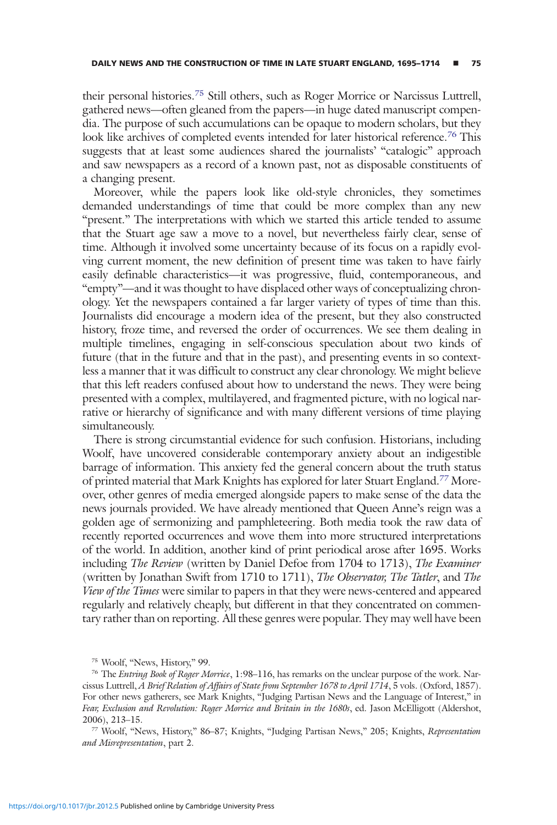their personal histories.<sup>75</sup> Still others, such as Roger Morrice or Narcissus Luttrell, gathered news—often gleaned from the papers—in huge dated manuscript compendia. The purpose of such accumulations can be opaque to modern scholars, but they look like archives of completed events intended for later historical reference.<sup>76</sup> This suggests that at least some audiences shared the journalists' "catalogic" approach and saw newspapers as a record of a known past, not as disposable constituents of a changing present.

Moreover, while the papers look like old-style chronicles, they sometimes demanded understandings of time that could be more complex than any new "present." The interpretations with which we started this article tended to assume that the Stuart age saw a move to a novel, but nevertheless fairly clear, sense of time. Although it involved some uncertainty because of its focus on a rapidly evolving current moment, the new definition of present time was taken to have fairly easily definable characteristics—it was progressive, fluid, contemporaneous, and "empty"—and it was thought to have displaced other ways of conceptualizing chronology. Yet the newspapers contained a far larger variety of types of time than this. Journalists did encourage a modern idea of the present, but they also constructed history, froze time, and reversed the order of occurrences. We see them dealing in multiple timelines, engaging in self-conscious speculation about two kinds of future (that in the future and that in the past), and presenting events in so contextless a manner that it was difficult to construct any clear chronology. We might believe that this left readers confused about how to understand the news. They were being presented with a complex, multilayered, and fragmented picture, with no logical narrative or hierarchy of significance and with many different versions of time playing simultaneously.

There is strong circumstantial evidence for such confusion. Historians, including Woolf, have uncovered considerable contemporary anxiety about an indigestible barrage of information. This anxiety fed the general concern about the truth status of printed material that Mark Knights has explored for later Stuart England.77 Moreover, other genres of media emerged alongside papers to make sense of the data the news journals provided. We have already mentioned that Queen Anne's reign was a golden age of sermonizing and pamphleteering. Both media took the raw data of recently reported occurrences and wove them into more structured interpretations of the world. In addition, another kind of print periodical arose after 1695. Works including *The Review* (written by Daniel Defoe from 1704 to 1713), *The Examiner* (written by Jonathan Swift from 1710 to 1711), The Observator, The Tatler, and The View of the Times were similar to papers in that they were news-centered and appeared regularly and relatively cheaply, but different in that they concentrated on commentary rather than on reporting. All these genres were popular. They may well have been

<sup>75</sup> Woolf, "News, History," 99.

<sup>&</sup>lt;sup>76</sup> The *Entring Book of Roger Morrice*, 1:98–116, has remarks on the unclear purpose of the work. Narcissus Luttrell, A Brief Relation of Affairs of State from September 1678 to April 1714, 5 vols. (Oxford, 1857). For other news gatherers, see Mark Knights, "Judging Partisan News and the Language of Interest," in Fear, Exclusion and Revolution: Roger Morrice and Britain in the 1680s, ed. Jason McElligott (Aldershot, 2006), 213–15.

<sup>77</sup> Woolf, "News, History," 86–87; Knights, "Judging Partisan News," 205; Knights, Representation and Misrepresentation, part 2.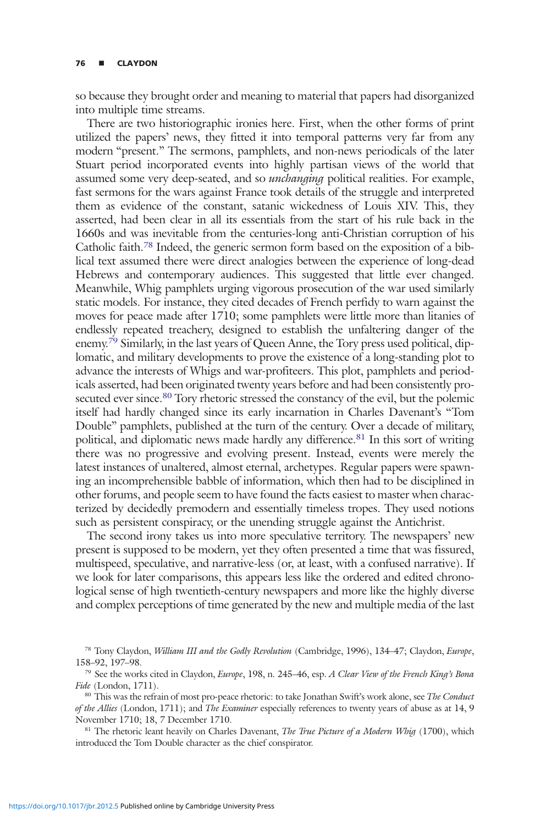so because they brought order and meaning to material that papers had disorganized into multiple time streams.

There are two historiographic ironies here. First, when the other forms of print utilized the papers' news, they fitted it into temporal patterns very far from any modern "present." The sermons, pamphlets, and non-news periodicals of the later Stuart period incorporated events into highly partisan views of the world that assumed some very deep-seated, and so *unchanging* political realities. For example, fast sermons for the wars against France took details of the struggle and interpreted them as evidence of the constant, satanic wickedness of Louis XIV. This, they asserted, had been clear in all its essentials from the start of his rule back in the 1660s and was inevitable from the centuries-long anti-Christian corruption of his Catholic faith.<sup>78</sup> Indeed, the generic sermon form based on the exposition of a biblical text assumed there were direct analogies between the experience of long-dead Hebrews and contemporary audiences. This suggested that little ever changed. Meanwhile, Whig pamphlets urging vigorous prosecution of the war used similarly static models. For instance, they cited decades of French perfidy to warn against the moves for peace made after 1710; some pamphlets were little more than litanies of endlessly repeated treachery, designed to establish the unfaltering danger of the enemy.<sup>79</sup> Similarly, in the last years of Queen Anne, the Tory press used political, diplomatic, and military developments to prove the existence of a long-standing plot to advance the interests of Whigs and war-profiteers. This plot, pamphlets and periodicals asserted, had been originated twenty years before and had been consistently prosecuted ever since.<sup>80</sup> Tory rhetoric stressed the constancy of the evil, but the polemic itself had hardly changed since its early incarnation in Charles Davenant's "Tom Double" pamphlets, published at the turn of the century. Over a decade of military, political, and diplomatic news made hardly any difference.<sup>81</sup> In this sort of writing there was no progressive and evolving present. Instead, events were merely the latest instances of unaltered, almost eternal, archetypes. Regular papers were spawning an incomprehensible babble of information, which then had to be disciplined in other forums, and people seem to have found the facts easiest to master when characterized by decidedly premodern and essentially timeless tropes. They used notions such as persistent conspiracy, or the unending struggle against the Antichrist.

The second irony takes us into more speculative territory. The newspapers' new present is supposed to be modern, yet they often presented a time that was fissured, multispeed, speculative, and narrative-less (or, at least, with a confused narrative). If we look for later comparisons, this appears less like the ordered and edited chronological sense of high twentieth-century newspapers and more like the highly diverse and complex perceptions of time generated by the new and multiple media of the last

<sup>&</sup>lt;sup>78</sup> Tony Claydon, William III and the Godly Revolution (Cambridge, 1996), 134–47; Claydon, Europe, 158–92, 197–98.

<sup>79</sup> See the works cited in Claydon, Europe, 198, n. 245–46, esp. A Clear View of the French King's Bona Fide (London, 1711).

<sup>&</sup>lt;sup>80</sup> This was the refrain of most pro-peace rhetoric: to take Jonathan Swift's work alone, see The Conduct of the Allies (London, 1711); and The Examiner especially references to twenty years of abuse as at 14, 9 November 1710; 18, 7 December 1710.

<sup>&</sup>lt;sup>81</sup> The rhetoric leant heavily on Charles Davenant, *The True Picture of a Modern Whig* (1700), which introduced the Tom Double character as the chief conspirator.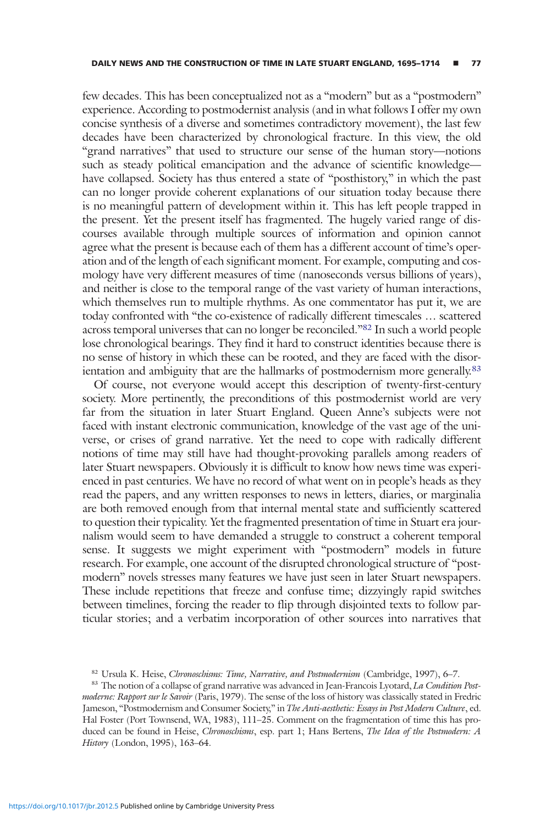few decades. This has been conceptualized not as a "modern" but as a "postmodern" experience. According to postmodernist analysis (and in what follows I offer my own concise synthesis of a diverse and sometimes contradictory movement), the last few decades have been characterized by chronological fracture. In this view, the old "grand narratives" that used to structure our sense of the human story—notions such as steady political emancipation and the advance of scientific knowledge have collapsed. Society has thus entered a state of "posthistory," in which the past can no longer provide coherent explanations of our situation today because there is no meaningful pattern of development within it. This has left people trapped in the present. Yet the present itself has fragmented. The hugely varied range of discourses available through multiple sources of information and opinion cannot agree what the present is because each of them has a different account of time's operation and of the length of each significant moment. For example, computing and cosmology have very different measures of time (nanoseconds versus billions of years), and neither is close to the temporal range of the vast variety of human interactions, which themselves run to multiple rhythms. As one commentator has put it, we are today confronted with "the co-existence of radically different timescales … scattered across temporal universes that can no longer be reconciled."82 In such a world people lose chronological bearings. They find it hard to construct identities because there is no sense of history in which these can be rooted, and they are faced with the disorientation and ambiguity that are the hallmarks of postmodernism more generally.<sup>83</sup>

Of course, not everyone would accept this description of twenty-first-century society. More pertinently, the preconditions of this postmodernist world are very far from the situation in later Stuart England. Queen Anne's subjects were not faced with instant electronic communication, knowledge of the vast age of the universe, or crises of grand narrative. Yet the need to cope with radically different notions of time may still have had thought-provoking parallels among readers of later Stuart newspapers. Obviously it is difficult to know how news time was experienced in past centuries. We have no record of what went on in people's heads as they read the papers, and any written responses to news in letters, diaries, or marginalia are both removed enough from that internal mental state and sufficiently scattered to question their typicality. Yet the fragmented presentation of time in Stuart era journalism would seem to have demanded a struggle to construct a coherent temporal sense. It suggests we might experiment with "postmodern" models in future research. For example, one account of the disrupted chronological structure of "postmodern" novels stresses many features we have just seen in later Stuart newspapers. These include repetitions that freeze and confuse time; dizzyingly rapid switches between timelines, forcing the reader to flip through disjointed texts to follow particular stories; and a verbatim incorporation of other sources into narratives that

<sup>82</sup> Ursula K. Heise, Chronoschisms: Time, Narrative, and Postmodernism (Cambridge, 1997), 6-7.

<sup>83</sup> The notion of a collapse of grand narrative was advanced in Jean-Francois Lyotard, La Condition Postmoderne: Rapport sur le Savoir (Paris, 1979). The sense of the loss of history was classically stated in Fredric Jameson, "Postmodernism and Consumer Society," in The Anti-aesthetic: Essays in Post Modern Culture, ed. Hal Foster (Port Townsend, WA, 1983), 111–25. Comment on the fragmentation of time this has produced can be found in Heise, Chronoschisms, esp. part 1; Hans Bertens, The Idea of the Postmodern: A History (London, 1995), 163–64.